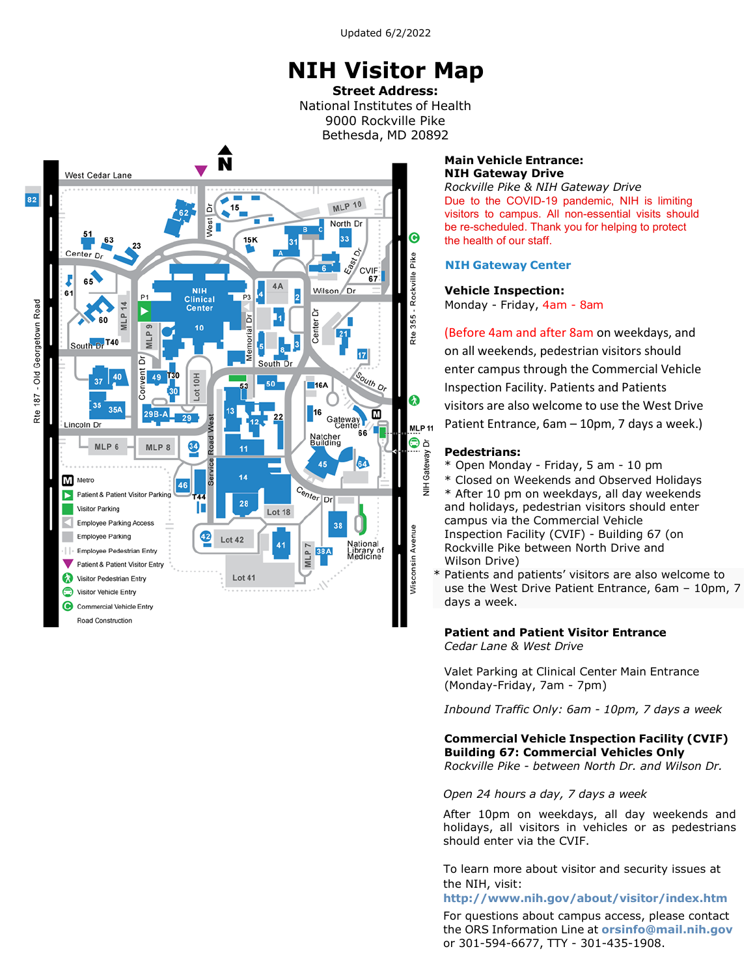Updated 6/2/2022

# **NIH Visitor Map**

**Street Address:** National Institutes of Health 9000 Rockville Pike Bethesda, MD 20892



#### **Main Vehicle Entrance: NIH Gateway Drive**

*Rockville Pike & NIH Gateway Drive* Due to the COVID-19 pandemic, NIH is limiting visitors to campus. All non-essential visits should be re-scheduled. Thank you for helping to protect the health of our staff.

### **NIH Gateway Center**

### **Vehicle Inspection:**

Monday - Friday, 4am - 8am

(Before 4am and after 8am on weekdays, and on all weekends, pedestrian visitors should enter campus through the Commercial Vehicle Inspection Facility. Patients and Patients visitors are also welcome to use the West Drive Patient Entrance, 6am – 10pm, 7 days a week.)

### **Pedestrians:**

- \* Open Monday Friday, 5 am 10 pm
- \* Closed on Weekends and Observed Holidays \* After 10 pm on weekdays, all day weekends and holidays, pedestrian visitors should enter campus via the Commercial Vehicle Inspection Facility (CVIF) - Building 67 (on Rockville Pike between North Drive and Wilson Drive)
- \* Patients and patients' visitors are also welcome to use the West Drive Patient Entrance, 6am – 10pm, 7 days a week.

#### **Patient and Patient Visitor Entrance** *Cedar Lane & West Drive*

Valet Parking at Clinical Center Main Entrance (Monday-Friday, 7am - 7pm)

*Inbound Traffic Only: 6am - 10pm, 7 days a week*

**Commercial Vehicle Inspection Facility (CVIF) Building 67: Commercial Vehicles Only**  *Rockville Pike - between North Dr. and Wilson Dr.*

### *Open 24 hours a day, 7 days a week*

After 10pm on weekdays, all day weekends and holidays, all visitors in vehicles or as pedestrians should enter via the CVIF.

To learn more about visitor and security issues at the NIH, visit:

#### **<http://www.nih.gov/about/visitor/index.htm>**

For questions about campus access, please contact the ORS Information Line at **[orsinfo@mail.nih.gov](mailto:orsinfo@mail.nih.gov)** or 301-594-6677, TTY - 301-435-1908.